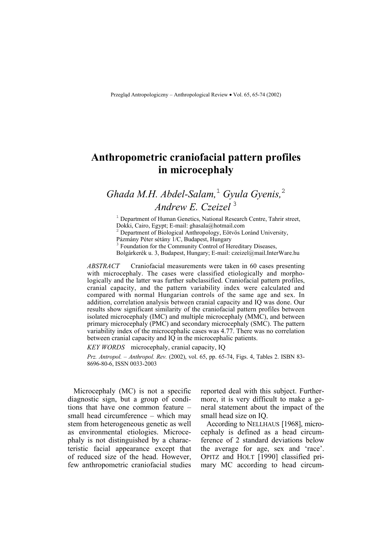## **Anthropometric craniofacial pattern profiles in microcephaly**

# *Ghada M.H. Abdel-Salam,*<sup>1</sup> *Gyula Gyenis,*<sup>2</sup> *Andrew E. Czeizel* <sup>3</sup>

<sup>1</sup> Department of Human Genetics, National Research Centre, Tahrir street, Dokki, Cairo, Egypt; E-mail: ghasala@hotmail.com 2

Department of Biological Anthropology, Eötvös Loránd University,

Pázmány Péter sétány 1/C, Budapest, Hungary

<sup>3</sup> Foundation for the Community Control of Hereditary Diseases,

Bolgárkerék u. 3, Budapest, Hungary; E-mail: czeizel@mail.InterWare.hu

*ABSTRACT* Craniofacial measurements were taken in 60 cases presenting with microcephaly. The cases were classified etiologically and morphologically and the latter was further subclassified. Craniofacial pattern profiles, cranial capacity, and the pattern variability index were calculated and compared with normal Hungarian controls of the same age and sex. In addition, correlation analysis between cranial capacity and IQ was done. Our results show significant similarity of the craniofacial pattern profiles between isolated microcephaly (IMC) and multiple microcephaly (MMC), and between primary microcephaly (PMC) and secondary microcephaly (SMC). The pattern variability index of the microcephalic cases was 4.77. There was no correlation between cranial capacity and IQ in the microcephalic patients.

*KEY WORDS* microcephaly, cranial capacity, IQ

*Prz. Antropol. – Anthropol. Rev.* (2002), vol. 65, pp. 65-74, Figs. 4, Tables 2. ISBN 83- 8696-80-6, ISSN 0033-2003

Microcephaly (MC) is not a specific diagnostic sign, but a group of conditions that have one common feature – small head circumference – which may stem from heterogeneous genetic as well as environmental etiologies. Microcephaly is not distinguished by a characteristic facial appearance except that of reduced size of the head. However, few anthropometric craniofacial studies

reported deal with this subject. Furthermore, it is very difficult to make a general statement about the impact of the small head size on IQ.

According to NELLHAUS [1968], microcephaly is defined as a head circumference of 2 standard deviations below the average for age, sex and 'race'. OPITZ and HOLT [1990] classified primary MC according to head circum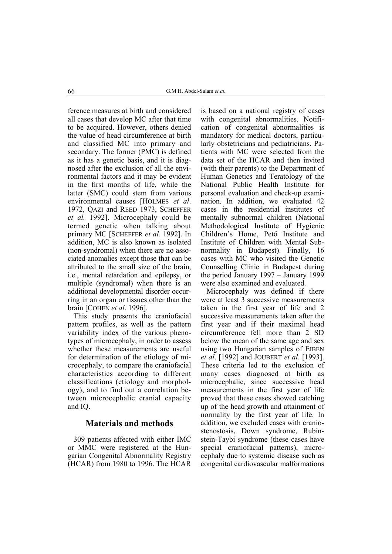ference measures at birth and considered all cases that develop MC after that time to be acquired. However, others denied the value of head circumference at birth and classified MC into primary and secondary. The former (PMC) is defined as it has a genetic basis, and it is diagnosed after the exclusion of all the environmental factors and it may be evident in the first months of life, while the latter (SMC) could stem from various environmental causes [HOLMES *et al*. 1972, QAZI and REED 1973, SCHEFFER *et al.* 1992]. Microcephaly could be termed genetic when talking about primary MC [SCHEFFER *et al.* 1992]. In addition, MC is also known as isolated (non-syndromal) when there are no associated anomalies except those that can be attributed to the small size of the brain, i.e., mental retardation and epilepsy, or multiple (syndromal) when there is an additional developmental disorder occurring in an organ or tissues other than the brain [COHEN *et al*. 1996].

This study presents the craniofacial pattern profiles, as well as the pattern variability index of the various phenotypes of microcephaly, in order to assess whether these measurements are useful for determination of the etiology of microcephaly, to compare the craniofacial characteristics according to different classifications (etiology and morphology), and to find out a correlation between microcephalic cranial capacity and IQ.

## **Materials and methods**

309 patients affected with either IMC or MMC were registered at the Hungarian Congenital Abnormality Registry (HCAR) from 1980 to 1996. The HCAR

is based on a national registry of cases with congenital abnormalities. Notification of congenital abnormalities is mandatory for medical doctors, particularly obstetricians and pediatricians. Patients with MC were selected from the data set of the HCAR and then invited (with their parents) to the Department of Human Genetics and Teratology of the National Public Health Institute for personal evaluation and check-up examination. In addition, we evaluated 42 cases in the residential institutes of mentally subnormal children (National Methodological Institute of Hygienic Children's Home, Pető Institute and Institute of Children with Mental Subnormality in Budapest). Finally, 16 cases with MC who visited the Genetic Counselling Clinic in Budapest during the period January 1997 – January 1999 were also examined and evaluated.

Microcephaly was defined if there were at least 3 successive measurements taken in the first year of life and 2 successive measurements taken after the first year and if their maximal head circumference fell more than 2 SD below the mean of the same age and sex using two Hungarian samples of EIBEN *et al*. [1992] and JOUBERT *et al*. [1993]. These criteria led to the exclusion of many cases diagnosed at birth as microcephalic, since successive head measurements in the first year of life proved that these cases showed catching up of the head growth and attainment of normality by the first year of life. In addition, we excluded cases with craniostenostosis, Down syndrome, Rubinstein-Taybi syndrome (these cases have special craniofacial patterns), microcephaly due to systemic disease such as congenital cardiovascular malformations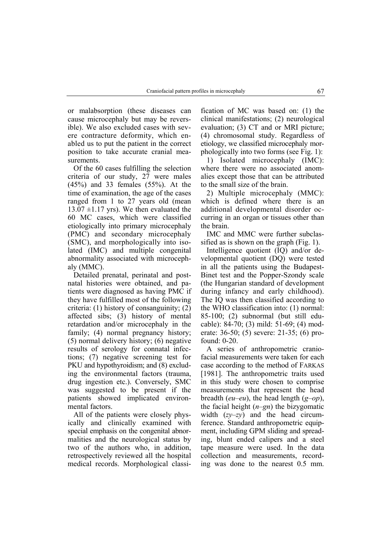or malabsorption (these diseases can cause microcephaly but may be reversible). We also excluded cases with severe contracture deformity, which enabled us to put the patient in the correct position to take accurate cranial measurements.

Of the 60 cases fulfilling the selection criteria of our study, 27 were males (45%) and 33 females (55%). At the time of examination, the age of the cases ranged from 1 to 27 years old (mean  $13.07 \pm 1.17$  yrs). We then evaluated the 60 MC cases, which were classified etiologically into primary microcephaly (PMC) and secondary microcephaly (SMC), and morphologically into isolated (IMC) and multiple congenital abnormality associated with microcephaly (MMC).

Detailed prenatal, perinatal and postnatal histories were obtained, and patients were diagnosed as having PMC if they have fulfilled most of the following criteria: (1) history of consanguinity; (2) affected sibs; (3) history of mental retardation and/or microcephaly in the family; (4) normal pregnancy history; (5) normal delivery history; (6) negative results of serology for connatal infections; (7) negative screening test for PKU and hypothyroidism; and (8) excluding the environmental factors (trauma, drug ingestion etc.). Conversely, SMC was suggested to be present if the patients showed implicated environmental factors.

All of the patients were closely physically and clinically examined with special emphasis on the congenital abnormalities and the neurological status by two of the authors who, in addition, retrospectively reviewed all the hospital medical records. Morphological classi-

fication of MC was based on: (1) the clinical manifestations; (2) neurological evaluation; (3) CT and or MRI picture; (4) chromosomal study. Regardless of etiology, we classified microcephaly morphologically into two forms (see Fig. 1):

1) Isolated microcephaly (IMC): where there were no associated anomalies except those that can be attributed to the small size of the brain.

2) Multiple microcephaly (MMC): which is defined where there is an additional developmental disorder occurring in an organ or tissues other than the brain.

IMC and MMC were further subclassified as is shown on the graph (Fig. 1).

Intelligence quotient (IQ) and/or developmental quotient (DQ) were tested in all the patients using the Budapest-Binet test and the Popper-Szondy scale (the Hungarian standard of development during infancy and early childhood). The IQ was then classified according to the WHO classification into: (1) normal: 85-100; (2) subnormal (but still educable): 84-70; (3) mild: 51-69; (4) moderate: 36-50; (5) severe: 21-35; (6) profound: 0-20.

A series of anthropometric craniofacial measurements were taken for each case according to the method of FARKAS [1981]. The anthropometric traits used in this study were chosen to comprise measurements that represent the head breadth (*eu–eu*), the head length (*g–op*), the facial height (*n–gn*) the bizygomatic width (*zy–zy*) and the head circumference. Standard anthropometric equipment, including GPM sliding and spreading, blunt ended calipers and a steel tape measure were used. In the data collection and measurements, recording was done to the nearest 0.5 mm.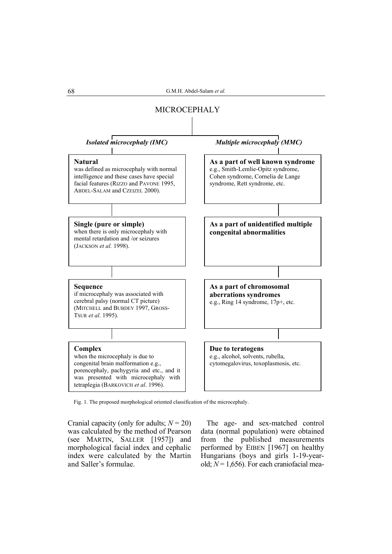

Fig. 1. The proposed morphological oriented classification of the microcephaly.

Cranial capacity (only for adults; *N* = 20) was calculated by the method of Pearson (see MARTIN, SALLER [1957]) and morphological facial index and cephalic index were calculated by the Martin and Saller's formulae.

The age- and sex-matched control data (normal population) were obtained from the published measurements performed by EIBEN [1967] on healthy Hungarians (boys and girls 1-19-yearold;  $N = 1,656$ ). For each craniofacial mea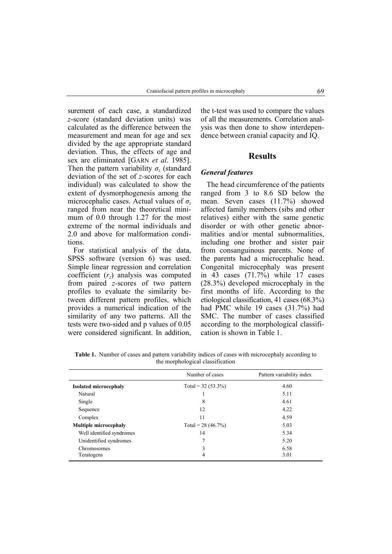surement of each case, a standardized *z*-score (standard deviation units) was calculated as the difference between the measurement and mean for age and sex divided by the age appropriate standard deviation. Thus, the effects of age and sex are eliminated [GARN *et al*. 1985]. Then the pattern variability  $\sigma$ <sub>z</sub> (standard deviation of the set of *z-*scores for each individual) was calculated to show the extent of dysmorphogenesis among the microcephalic cases. Actual values of *σ<sup>z</sup>* ranged from near the theoretical minimum of 0.0 through 1.27 for the most extreme of the normal individuals and 2.0 and above for malformation conditions.

For statistical analysis of the data, SPSS software (version 6) was used. Simple linear regression and correlation coefficient (*rz*) analysis was computed from paired *z-*scores of two pattern profiles to evaluate the similarity between different pattern profiles, which provides a numerical indication of the similarity of any two patterns. All the tests were two-sided and p values of 0.05 were considered significant. In addition,

the t-test was used to compare the values of all the measurements. Correlation analysis was then done to show interdependence between cranial capacity and IQ.

## **Results**

#### *General features*

The head circumference of the patients ranged from 3 to 8.6 SD below the mean. Seven cases (11.7%) showed affected family members (sibs and other relatives) either with the same genetic disorder or with other genetic abnormalities and/or mental subnormalities, including one brother and sister pair from consanguinous parents. None of the parents had a microcephalic head. Congenital microcephaly was present in 43 cases (71.7%) while 17 cases (28.3%) developed microcephaly in the first months of life. According to the etiological classification, 41 cases (68.3%) had PMC while 19 cases (31.7%) had SMC. The number of cases classified according to the morphological classification is shown in Table 1.

**Table 1.** Number of cases and pattern variability indices of cases with microcephaly according to the morphological classification

|                              | Number of cases      | Pattern variability index |  |
|------------------------------|----------------------|---------------------------|--|
| <b>Isolated microcephaly</b> | Total = $32(53.3\%)$ | 4.60                      |  |
| Natural                      |                      | 5.11                      |  |
| Single                       | 8                    | 4.61                      |  |
| Sequence                     | 12                   | 4.22                      |  |
| Complex                      | 11                   | 4.59                      |  |
| <b>Multiple microcephaly</b> | Total = $28(46.7\%)$ | 5.03                      |  |
| Well identified syndromes    | 14                   | 5.34                      |  |
| Unidentified syndromes       | 7                    | 5.20                      |  |
| Chromosomes                  | 3                    | 6.58                      |  |
| Teratogens                   | 4                    | 3.01                      |  |
|                              |                      |                           |  |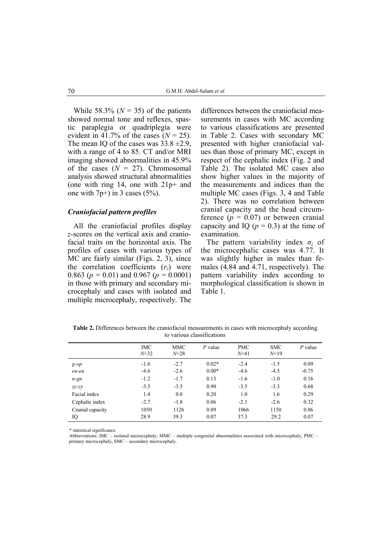While 58.3% ( $N = 35$ ) of the patients showed normal tone and reflexes, spastic paraplegia or quadriplegia were evident in 41.7% of the cases  $(N = 25)$ . The mean IO of the cases was  $33.8 \pm 2.9$ , with a range of 4 to 85. CT and/or MRI imaging showed abnormalities in 45.9% of the cases  $(N = 27)$ . Chromosomal analysis showed structural abnormalities (one with ring 14, one with 21p+ and one with  $7p+$ ) in 3 cases (5%).

#### *Craniofacial pattern profiles*

All the craniofacial profiles display *z-*scores on the vertical axis and craniofacial traits on the horizontal axis. The profiles of cases with various types of MC are fairly similar (Figs. 2, 3), since the correlation coefficients  $(r<sub>z</sub>)$  were 0.863 (*p =* 0.01) and 0.967 (*p =* 0.0001) in those with primary and secondary microcephaly and cases with isolated and multiple microcephaly, respectively. The

differences between the craniofacial measurements in cases with MC according to various classifications are presented in Table 2. Cases with secondary MC presented with higher craniofacial values than those of primary MC, except in respect of the cephalic index (Fig. 2 and Table 2). The isolated MC cases also show higher values in the majority of the measurements and indices than the multiple MC cases (Figs. 3, 4 and Table 2). There was no correlation between cranial capacity and the head circumference  $(p = 0.07)$  or between cranial capacity and IQ  $(p = 0.3)$  at the time of examination.

The pattern variability index *σz* of the microcephalic cases was 4.77. It was slightly higher in males than females (4.84 and 4.71, respectively). The pattern variability index according to morphological classification is shown in Table 1.

**Table 2.** Differences between the craniofacial measurements in cases with microcephaly according to various classifications

|                        | <b>IMC</b><br>$N = 32$ | MMC<br>$N = 28$  | $P$ value          | <b>PMC</b><br>$N = 41$ | <b>SMC</b><br>$N=19$ | $P$ value       |
|------------------------|------------------------|------------------|--------------------|------------------------|----------------------|-----------------|
| $g$ -op<br>eu-eu       | $-1.6$<br>$-4.6$       | $-2.7$<br>$-2.6$ | $0.02*$<br>$0.00*$ | $-2.4$<br>$-4.6$       | $-1.5$<br>$-4.5$     | 0.09<br>$-0.75$ |
| $n$ -gn                | $-1.2$                 | $-1.7$           | 0.13               | $-1.6$                 | $-1.0$               | 0.16            |
| $zy$ - $zy$            | $-3.5$                 | $-3.5$           | 0.90               | $-3.5$                 | $-3.3$               | 0.68            |
| Facial index           | 1.4                    | 0.8              | 0.20               | 1.0                    | 1.6                  | 0.29            |
| Cephalic index         | $-2.7$                 | $-1.8$           | 0.06               | $-2.1$                 | $-2.6$               | 0.32            |
| Cranial capacity<br>IQ | 1050<br>28.9           | 1126<br>39.3     | 0.09<br>0.07       | 1066<br>37.3           | 1150<br>29.2         | 0.06<br>0.07    |

\* statistical significance.

Abbreviations: IMC – isolated microcephaly; MMC – multiple congenital abnormalities associated with microcephaly, PMC – primary microcephaly, SMC – secondary microcephaly.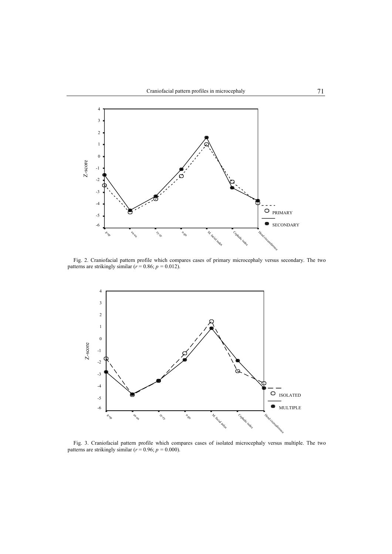

Fig. 2. Craniofacial pattern profile which compares cases of primary microcephaly versus secondary. The two patterns are strikingly similar  $(r = 0.86; p = 0.012)$ .



Fig. 3. Craniofacial pattern profile which compares cases of isolated microcephaly versus multiple. The two patterns are strikingly similar  $(r = 0.96; p = 0.000)$ .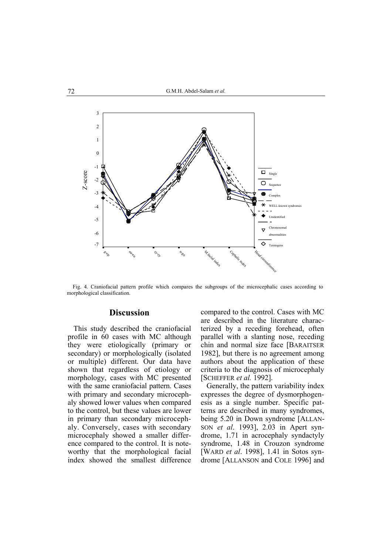

Fig. 4. Craniofacial pattern profile which compares the subgroups of the microcephalic cases according to morphological classification.

## **Discussion**

This study described the craniofacial profile in 60 cases with MC although they were etiologically (primary or secondary) or morphologically (isolated or multiple) different. Our data have shown that regardless of etiology or morphology, cases with MC presented with the same craniofacial pattern. Cases with primary and secondary microcephaly showed lower values when compared to the control, but these values are lower in primary than secondary microcephaly. Conversely, cases with secondary microcephaly showed a smaller difference compared to the control. It is noteworthy that the morphological facial index showed the smallest difference compared to the control. Cases with MC are described in the literature characterized by a receding forehead, often parallel with a slanting nose, receding chin and normal size face [BARAITSER 1982], but there is no agreement among authors about the application of these criteria to the diagnosis of microcephaly [SCHEFFER *et al.* 1992].

Generally, the pattern variability index expresses the degree of dysmorphogenesis as a single number. Specific patterns are described in many syndromes, being 5.20 in Down syndrome [ALLAN-SON *et al*. 1993], 2.03 in Apert syndrome, 1.71 in acrocephaly syndactyly syndrome, 1.48 in Crouzon syndrome [WARD *et al*. 1998], 1.41 in Sotos syndrome [ALLANSON and COLE 1996] and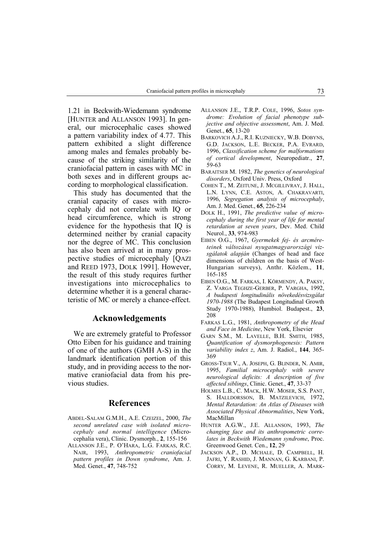1.21 in Beckwith-Wiedemann syndrome [HUNTER and ALLANSON 1993]. In general, our microcephalic cases showed a pattern variability index of 4.77. This pattern exhibited a slight difference among males and females probably because of the striking similarity of the craniofacial pattern in cases with MC in both sexes and in different groups according to morphological classification.

This study has documented that the cranial capacity of cases with microcephaly did not correlate with IQ or head circumference, which is strong evidence for the hypothesis that IQ is determined neither by cranial capacity nor the degree of MC. This conclusion has also been arrived at in many prospective studies of microcephaly [QAZI and REED 1973, DOLK 1991]. However, the result of this study requires further investigations into microcephalics to determine whether it is a general characteristic of MC or merely a chance-effect.

#### **Acknowledgements**

We are extremely grateful to Professor Otto Eiben for his guidance and training of one of the authors (GMH A-S) in the landmark identification portion of this study, and in providing access to the normative craniofacial data from his previous studies.

## **References**

- ABDEL-SALAM G.M.H., A.E. CZEIZEL, 2000, *The second unrelated case with isolated microcephaly and normal intelligence* (Microcephalia vera), Clinic. Dysmorph., **2**, 155-156
- ALLANSON J.E., P. O'HARA, L.G. FARKAS, R.C. NAIR, 1993, *Anthropometric craniofacial pattern profiles in Down syndrome*, Am. J. Med. Genet., **47**, 748-752
- ALLANSON J.E., T.R.P. COLE, 1996, *Sotos syndrome: Evolution of facial phenotype subjective and objective assessment*, Am. J. Med. Genet., **65**, 13-20
- BARKOVICH A.J., R.I. KUZNIECKY, W.B. DOBYNS, G.D. JACKSON, L.E. BECKER, P.A. EVRARD, 1996, *Classification scheme for malformations of cortical development*, Neuropediatr., **27**, 59-63
- BARAITSER M. 1982, *The genetics of neurological disorders*, Oxford Univ. Press, Oxford
- COHEN T., M. ZEITUNE, J. MCGILLIVRAY, J. HALL, L.N. LYNN, C.E. ASTON, A. CHAKRAVARTI, 1996, *Segregation analysis of microcephaly*, Am. J. Med. Genet., **65**, 226-234
- DOLK H., 1991, *The predictive value of microcephaly during the first year of life for mental retardation at seven years*, Dev. Med. Child Neurol., **33**, 974-983
- EIBEN O.G., 1967, *Gyermekek fej- és arcméreteinek változásai nyugatmagyarországi vizsgálatok alapján* (Changes of head and face dimensions of children on the basis of West-Hungarian surveys), Anthr. Közlem., **11**, 165-185
- EIBEN O.G., M. FARKAS, I. KÖRMENDY, A. PAKSY, Z. VARGA TEGHZE-GERBER, P. VARGHA, 1992, *A budapesti longitudinális növekedésvizsgálat 1970-1988* (The Budapest Longitudinal Growth Study 1970-1988), Humbiol. Budapest., **23**, 208
- FARKAS L.G., 1981, *Anthropometry of the Head and Face in Medicine*, New York, Elsevier
- GARN S.M., M. LAVELLE, B.H. SMITH, 1985, *Quantification of dysmorphogenesis: Pattern variability index z*, Am. J. Radiol., **144**, 365- 369
- GROSS-TSUR V., A. JOSEPH, G. BLINDER, N. AMIR, 1995, *Familial microcephaly with severe neurological deficits: A description of five affected siblings*, Clinic. Genet., **47**, 33-37
- HOLMES L.B., C. MACK, H.W. MOSER, S.S. PANT, S. HALLDORSSON, B. MATZILEVICH, 1972, *Mental Retardation: An Atlas of Diseases with Associated Physical Abnormalities*, New York, MacMillan
- HUNTER A.G.W., J.E. ALLANSON, 1993, *The changing face and its anthropometric correlates in Beckwith Wiedemann syndrome*, Proc. Greenwood Genet. Cen., **12**, 29
- JACKSON A.P., D. MCHALE, D. CAMPBELL, H. JAFRI, Y. RASHID, J. MANNAN, G. KARBANI, P. CORRY, M. LEVENE, R. MUELLER, A. MARK-